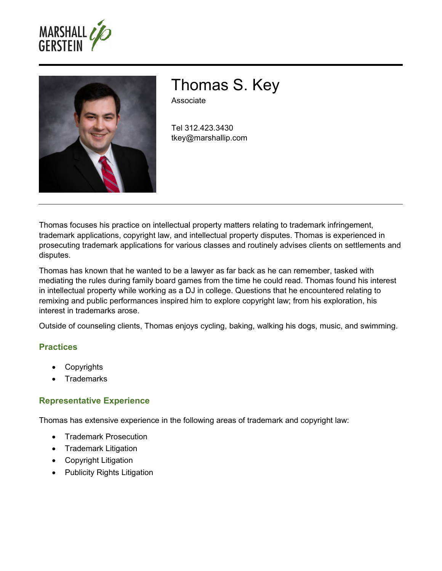



# Thomas S. Key

Associate

Tel 312.423.3430 tkey@marshallip.com

Thomas focuses his practice on intellectual property matters relating to trademark infringement, trademark applications, copyright law, and intellectual property disputes. Thomas is experienced in prosecuting trademark applications for various classes and routinely advises clients on settlements and disputes.

Thomas has known that he wanted to be a lawyer as far back as he can remember, tasked with mediating the rules during family board games from the time he could read. Thomas found his interest in intellectual property while working as a DJ in college. Questions that he encountered relating to remixing and public performances inspired him to explore copyright law; from his exploration, his interest in trademarks arose.

Outside of counseling clients, Thomas enjoys cycling, baking, walking his dogs, music, and swimming.

## **Practices**

- **Copyrights**
- **Trademarks**

## **Representative Experience**

Thomas has extensive experience in the following areas of trademark and copyright law:

- Trademark Prosecution
- Trademark Litigation
- Copyright Litigation
- Publicity Rights Litigation